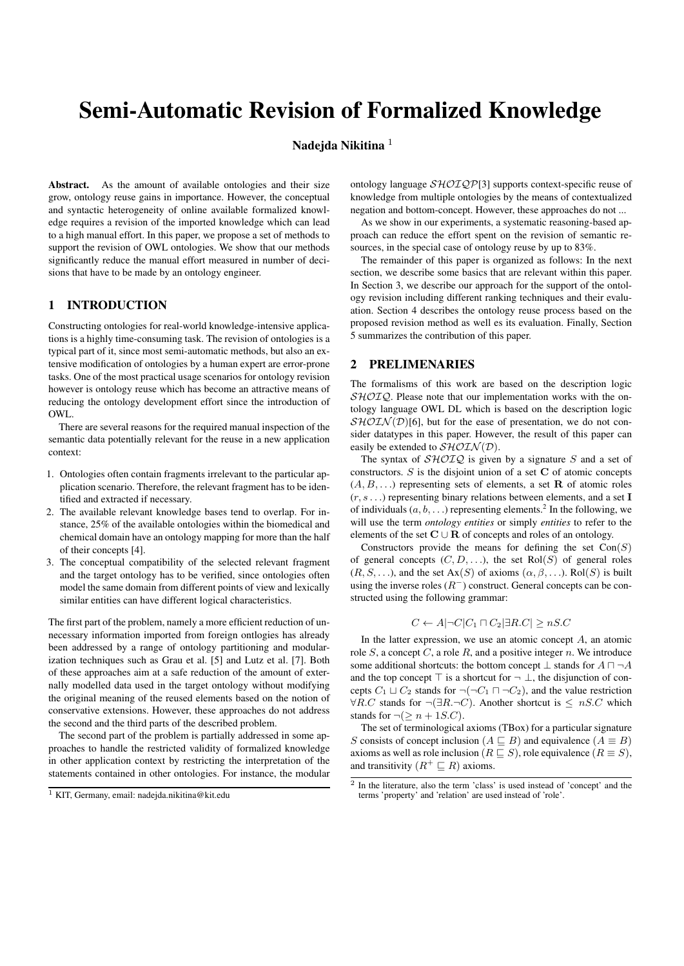# Semi-Automatic Revision of Formalized Knowledge

# Nadeida Nikitina<sup>1</sup>

Abstract. As the amount of available ontologies and their size grow, ontology reuse gains in importance. However, the conceptual and syntactic heterogeneity of online available formalized knowledge requires a revision of the imported knowledge which can lead to a high manual effort. In this paper, we propose a set of methods to support the revision of OWL ontologies. We show that our methods significantly reduce the manual effort measured in number of decisions that have to be made by an ontology engineer.

# 1 INTRODUCTION

Constructing ontologies for real-world knowledge-intensive applications is a highly time-consuming task. The revision of ontologies is a typical part of it, since most semi-automatic methods, but also an extensive modification of ontologies by a human expert are error-prone tasks. One of the most practical usage scenarios for ontology revision however is ontology reuse which has become an attractive means of reducing the ontology development effort since the introduction of OWL.

There are several reasons for the required manual inspection of the semantic data potentially relevant for the reuse in a new application context:

- 1. Ontologies often contain fragments irrelevant to the particular application scenario. Therefore, the relevant fragment has to be identified and extracted if necessary.
- 2. The available relevant knowledge bases tend to overlap. For instance, 25% of the available ontologies within the biomedical and chemical domain have an ontology mapping for more than the half of their concepts [4].
- 3. The conceptual compatibility of the selected relevant fragment and the target ontology has to be verified, since ontologies often model the same domain from different points of view and lexically similar entities can have different logical characteristics.

The first part of the problem, namely a more efficient reduction of unnecessary information imported from foreign ontlogies has already been addressed by a range of ontology partitioning and modularization techniques such as Grau et al. [5] and Lutz et al. [7]. Both of these approaches aim at a safe reduction of the amount of externally modelled data used in the target ontology without modifying the original meaning of the reused elements based on the notion of conservative extensions. However, these approaches do not address the second and the third parts of the described problem.

The second part of the problem is partially addressed in some approaches to handle the restricted validity of formalized knowledge in other application context by restricting the interpretation of the statements contained in other ontologies. For instance, the modular

ontology language  $\mathcal{SHOIQP}[3]$  supports context-specific reuse of knowledge from multiple ontologies by the means of contextualized negation and bottom-concept. However, these approaches do not ...

As we show in our experiments, a systematic reasoning-based approach can reduce the effort spent on the revision of semantic resources, in the special case of ontology reuse by up to 83%.

The remainder of this paper is organized as follows: In the next section, we describe some basics that are relevant within this paper. In Section 3, we describe our approach for the support of the ontology revision including different ranking techniques and their evaluation. Section 4 describes the ontology reuse process based on the proposed revision method as well es its evaluation. Finally, Section 5 summarizes the contribution of this paper.

# 2 PRELIMENARIES

The formalisms of this work are based on the description logic  $\mathcal{SHOIO}$ . Please note that our implementation works with the ontology language OWL DL which is based on the description logic  $\mathcal{SHOLN}(D)$ [6], but for the ease of presentation, we do not consider datatypes in this paper. However, the result of this paper can easily be extended to  $\mathcal{SHOLN}(D)$ .

The syntax of  $\mathcal{SHOLQ}$  is given by a signature S and a set of constructors.  $S$  is the disjoint union of a set  $C$  of atomic concepts  $(A, B, \ldots)$  representing sets of elements, a set **R** of atomic roles  $(r, s \dots)$  representing binary relations between elements, and a set I of individuals  $(a, b, \ldots)$  representing elements.<sup>2</sup> In the following, we will use the term *ontology entities* or simply *entities* to refer to the elements of the set  $C \cup R$  of concepts and roles of an ontology.

Constructors provide the means for defining the set  $Con(S)$ of general concepts  $(C, D, \ldots)$ , the set Rol(S) of general roles  $(R, S, \ldots)$ , and the set Ax $(S)$  of axioms  $(\alpha, \beta, \ldots)$ . Rol $(S)$  is built using the inverse roles  $(R^-)$  construct. General concepts can be constructed using the following grammar:

$$
C \leftarrow A | \neg C | C_1 \sqcap C_2 | \exists R.C | \geq nS.C
$$

In the latter expression, we use an atomic concept  $A$ , an atomic role  $S$ , a concept  $C$ , a role  $R$ , and a positive integer  $n$ . We introduce some additional shortcuts: the bottom concept  $\perp$  stands for  $A \sqcap \neg A$ and the top concept  $\top$  is a shortcut for  $\neg \bot$ , the disjunction of concepts  $C_1 \sqcup C_2$  stands for  $\neg(\neg C_1 \sqcap \neg C_2)$ , and the value restriction  $\forall R.C$  stands for  $\neg(\exists R.\neg C)$ . Another shortcut is  $\leq nS.C$  which stands for  $\neg(\geq n + 1S.C)$ .

The set of terminological axioms (TBox) for a particular signature  $S$  consists of concept inclusion ( $A \sqsubseteq B)$  and equivalence  $(A \equiv B)$ axioms as well as role inclusion ( $R \sqsubseteq S$ ), role equivalence ( $R \equiv S$ ), and transitivity  $(R^+ \sqsubseteq R)$  axioms.

<sup>1</sup> KIT, Germany, email: nadejda.nikitina@kit.edu

<sup>2</sup> In the literature, also the term 'class' is used instead of 'concept' and the terms 'property' and 'relation' are used instead of 'role'.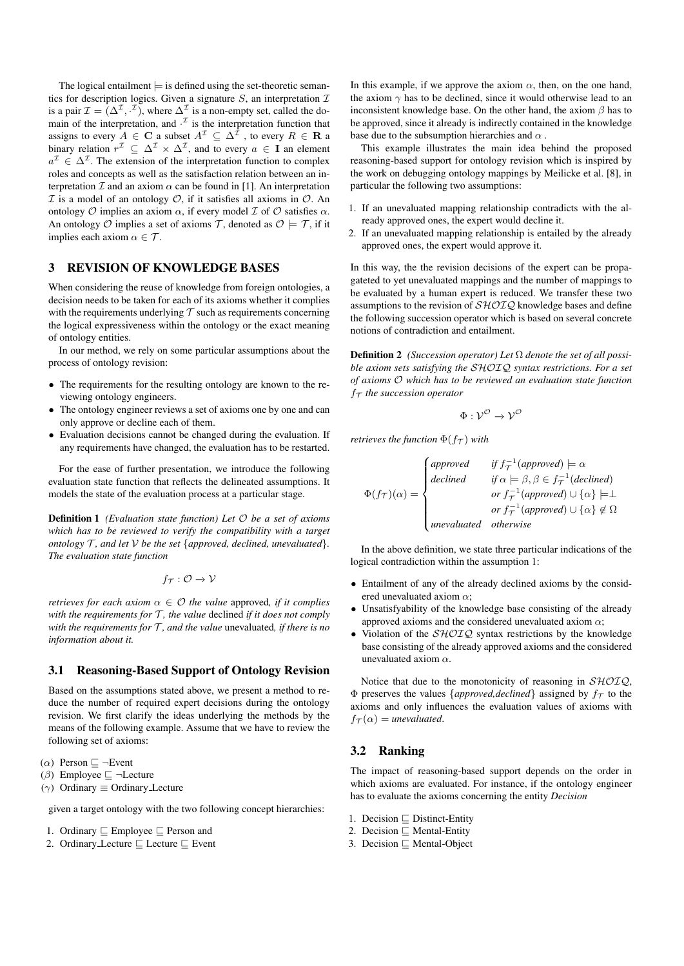The logical entailment  $\models$  is defined using the set-theoretic semantics for description logics. Given a signature  $S$ , an interpretation  $I$ is a pair  $\mathcal{I} = (\Delta^{\mathcal{I}}, \cdot^{\mathcal{I}})$ , where  $\Delta^{\mathcal{I}}$  is a non-empty set, called the domain of the interpretation, and  $\cdot^{\mathcal{I}}$  is the interpretation function that assigns to every  $A \in \mathbf{C}$  a subset  $A^{\mathcal{I}} \subseteq \Delta^{\mathcal{I}}$  , to every  $R \in \mathbf{R}$  a binary relation  $r^{\mathcal{I}} \subseteq \Delta^{\mathcal{I}} \times \Delta^{\mathcal{I}}$ , and to every  $a \in I$  an element  $a^{\mathcal{I}} \in \Delta^{\mathcal{I}}$ . The extension of the interpretation function to complex roles and concepts as well as the satisfaction relation between an interpretation  $\mathcal I$  and an axiom  $\alpha$  can be found in [1]. An interpretation  $I$  is a model of an ontology  $O$ , if it satisfies all axioms in  $O$ . An ontology  $O$  implies an axiom  $\alpha$ , if every model  $I$  of  $O$  satisfies  $\alpha$ . An ontology O implies a set of axioms T, denoted as  $\mathcal{O} \models \mathcal{T}$ , if it implies each axiom  $\alpha \in \mathcal{T}$ .

# 3 REVISION OF KNOWLEDGE BASES

When considering the reuse of knowledge from foreign ontologies, a decision needs to be taken for each of its axioms whether it complies with the requirements underlying  $T$  such as requirements concerning the logical expressiveness within the ontology or the exact meaning of ontology entities.

In our method, we rely on some particular assumptions about the process of ontology revision:

- The requirements for the resulting ontology are known to the reviewing ontology engineers.
- The ontology engineer reviews a set of axioms one by one and can only approve or decline each of them.
- Evaluation decisions cannot be changed during the evaluation. If any requirements have changed, the evaluation has to be restarted.

For the ease of further presentation, we introduce the following evaluation state function that reflects the delineated assumptions. It models the state of the evaluation process at a particular stage.

Definition 1 *(Evaluation state function) Let* O *be a set of axioms which has to be reviewed to verify the compatibility with a target ontology*  $\mathcal{T}$ *, and let*  $\mathcal{V}$  *be the set* {*approved, declined, unevaluated*}. *The evaluation state function*

$$
f_{\mathcal{T}}:\mathcal{O}\rightarrow\mathcal{V}
$$

*retrieves for each axiom*  $\alpha \in \mathcal{O}$  *the value approved, if it complies with the requirements for*  $T$ *, the value declined if it does not comply with the requirements for*  $T$ *, and the value unevaluated, if there is no information about it.*

# 3.1 Reasoning-Based Support of Ontology Revision

Based on the assumptions stated above, we present a method to reduce the number of required expert decisions during the ontology revision. We first clarify the ideas underlying the methods by the means of the following example. Assume that we have to review the following set of axioms:

( $\alpha$ ) Person  $\sqsubseteq \neg$ Event

( $\beta$ ) Employee  $\Box$   $\neg$  Lecture

( $\gamma$ ) Ordinary ≡ Ordinary Lecture

given a target ontology with the two following concept hierarchies:

- 1. Ordinary  $\sqsubseteq$  Employee  $\sqsubseteq$  Person and
- 2. Ordinary Lecture  $\sqsubseteq$  Lecture  $\sqsubseteq$  Event

In this example, if we approve the axiom  $\alpha$ , then, on the one hand, the axiom  $\gamma$  has to be declined, since it would otherwise lead to an inconsistent knowledge base. On the other hand, the axiom  $\beta$  has to be approved, since it already is indirectly contained in the knowledge base due to the subsumption hierarchies and  $\alpha$ .

This example illustrates the main idea behind the proposed reasoning-based support for ontology revision which is inspired by the work on debugging ontology mappings by Meilicke et al. [8], in particular the following two assumptions:

- 1. If an unevaluated mapping relationship contradicts with the already approved ones, the expert would decline it.
- 2. If an unevaluated mapping relationship is entailed by the already approved ones, the expert would approve it.

In this way, the the revision decisions of the expert can be propagateted to yet unevaluated mappings and the number of mappings to be evaluated by a human expert is reduced. We transfer these two assumptions to the revision of  $\mathcal{SHOLQ}$  knowledge bases and define the following succession operator which is based on several concrete notions of contradiction and entailment.

Definition 2 *(Succession operator) Let* Ω *denote the set of all possible axiom sets satisfying the* SHOIQ *syntax restrictions. For a set of axioms* O *which has to be reviewed an evaluation state function*  $f<sub>T</sub>$  *the succession operator* 

$$
\Phi: \mathcal{V}^{\mathcal{O}} \to \mathcal{V}^{\mathcal{O}}
$$

*retrieves the function*  $\Phi(f_\mathcal{T})$  *with* 

 $\Phi(f_{\mathcal{T}})(\alpha) =$  $\sqrt{ }$  $\int$  $\overline{\mathcal{L}}$ *approved if*  $f_{\tau}^{-1}$  (*approved*)  $\models \alpha$ *declined if*  $\alpha \models \beta, \beta \in f_{\mathcal{T}}^{-1}(declined)$ *or*  $f^{-1}_\mathcal{T}$  (approved)  $\cup \{\alpha\} \models \perp$ *or*  $f^{-1}_\mathcal{T}$  (*approved*)  $\cup \{\alpha\} \notin \Omega$ *unevaluated otherwise*

In the above definition, we state three particular indications of the logical contradiction within the assumption 1:

- Entailment of any of the already declined axioms by the considered unevaluated axiom  $\alpha$ :
- Unsatisfyability of the knowledge base consisting of the already approved axioms and the considered unevaluated axiom  $\alpha$ ;
- Violation of the  $\mathcal{SHOLQ}$  syntax restrictions by the knowledge base consisting of the already approved axioms and the considered unevaluated axiom  $\alpha$ .

Notice that due to the monotonicity of reasoning in  $\mathcal{SHOIQ}$ ,  $\Phi$  preserves the values {*approved,declined*} assigned by  $f_{\tau}$  to the axioms and only influences the evaluation values of axioms with  $f_{\mathcal{T}}(\alpha) =$  *unevaluated.* 

## 3.2 Ranking

The impact of reasoning-based support depends on the order in which axioms are evaluated. For instance, if the ontology engineer has to evaluate the axioms concerning the entity *Decision*

- 1. Decision  $\Box$  Distinct-Entity
- 2. Decision  $\sqsubseteq$  Mental-Entity
- 3. Decision  $\Box$  Mental-Object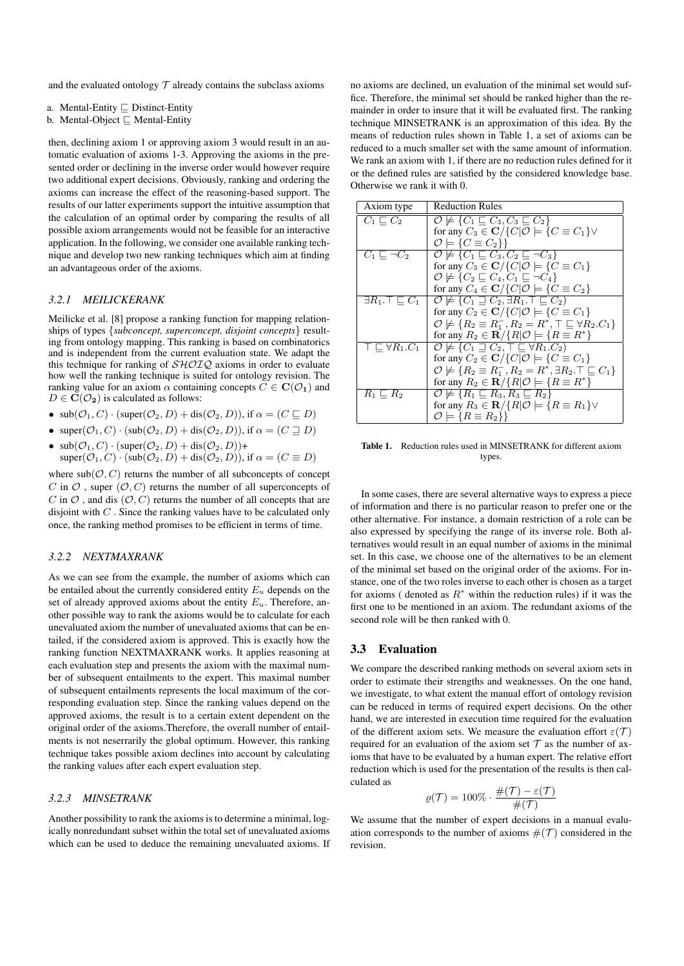and the evaluated ontology  $T$  already contains the subclass axioms

- a. Mental-Entity  $\sqsubseteq$  Distinct-Entity
- b. Mental-Object  $\sqsubseteq$  Mental-Entity

then, declining axiom 1 or approving axiom 3 would result in an automatic evaluation of axioms 1-3. Approving the axioms in the presented order or declining in the inverse order would however require two additional expert decisions. Obviously, ranking and ordering the axioms can increase the effect of the reasoning-based support. The results of our latter experiments support the intuitive assumption that the calculation of an optimal order by comparing the results of all possible axiom arrangements would not be feasible for an interactive application. In the following, we consider one available ranking technique and develop two new ranking techniques which aim at finding an advantageous order of the axioms.

## *3.2.1 MEILICKERANK*

Meilicke et al. [8] propose a ranking function for mapping relationships of types {*subconcept, superconcept, disjoint concepts*} resulting from ontology mapping. This ranking is based on combinatorics and is independent from the current evaluation state. We adapt the this technique for ranking of  $\mathcal{SHOLQ}$  axioms in order to evaluate how well the ranking technique is suited for ontology revision. The ranking value for an axiom  $\alpha$  containing concepts  $C \in \mathbf{C}(\mathcal{O}_1)$  and  $D \in \mathbf{C}(\mathcal{O}_2)$  is calculated as follows:

•  $\text{sub}(\mathcal{O}_1, C) \cdot (\text{super}(\mathcal{O}_2, D) + \text{dis}(\mathcal{O}_2, D)), \text{ if } \alpha = (C \sqsubseteq D)$ 

- super $(\mathcal{O}_1, C) \cdot (\text{sub}(\mathcal{O}_2, D) + \text{dis}(\mathcal{O}_2, D))$ , if  $\alpha = (C \sqsupseteq D)$
- $\text{sub}(\mathcal{O}_1, C) \cdot (\text{super}(\mathcal{O}_2, D) + \text{dis}(\mathcal{O}_2, D)) +$  $super(O_1, C) \cdot (sub(O_2, D) + dis(O_2, D))$ , if  $\alpha = (C \equiv D)$

where  $sub(\mathcal{O}, C)$  returns the number of all subconcepts of concept C in  $\mathcal O$ , super  $(\mathcal O, C)$  returns the number of all superconcepts of C in  $\mathcal O$ , and dis  $(\mathcal O, C)$  returns the number of all concepts that are disjoint with  $C$ . Since the ranking values have to be calculated only once, the ranking method promises to be efficient in terms of time.

## *3.2.2 NEXTMAXRANK*

As we can see from the example, the number of axioms which can be entailed about the currently considered entity  $E_u$  depends on the set of already approved axioms about the entity  $E_u$ . Therefore, another possible way to rank the axioms would be to calculate for each unevaluated axiom the number of unevaluated axioms that can be entailed, if the considered axiom is approved. This is exactly how the ranking function NEXTMAXRANK works. It applies reasoning at each evaluation step and presents the axiom with the maximal number of subsequent entailments to the expert. This maximal number of subsequent entailments represents the local maximum of the corresponding evaluation step. Since the ranking values depend on the approved axioms, the result is to a certain extent dependent on the original order of the axioms.Therefore, the overall number of entailments is not neserrarily the global optimum. However, this ranking technique takes possible axiom declines into account by calculating the ranking values after each expert evaluation step.

#### *3.2.3 MINSETRANK*

Another possibility to rank the axioms is to determine a minimal, logically nonredundant subset within the total set of unevaluated axioms which can be used to deduce the remaining unevaluated axioms. If no axioms are declined, un evaluation of the minimal set would suffice. Therefore, the minimal set should be ranked higher than the remainder in order to insure that it will be evaluated first. The ranking technique MINSETRANK is an approximation of this idea. By the means of reduction rules shown in Table 1, a set of axioms can be reduced to a much smaller set with the same amount of information. We rank an axiom with 1, if there are no reduction rules defined for it or the defined rules are satisfied by the considered knowledge base. Otherwise we rank it with 0.

| Axiom type                                | <b>Reduction Rules</b>                                                                      |
|-------------------------------------------|---------------------------------------------------------------------------------------------|
| $C_1 \sqsubset C_2$                       | $\mathcal{O} \not\models \{C_1 \sqsubseteq C_3, C_3 \sqsubseteq C_2\}$                      |
|                                           | for any $C_3 \in \mathbf{C}/\{C \mathcal{O}  \models \{C \equiv C_1\} \vee$                 |
|                                           | $\mathcal{O} \models \{C \equiv C_2\}\}\$                                                   |
| $\overline{C_1} \sqsubseteq \neg C_2$     | $\mathcal{O} \not\models \{C_1 \sqsubseteq C_3, C_2 \sqsubseteq \neg C_3\}$                 |
|                                           | for any $C_3 \in \mathbb{C}/\{C \mathcal{O}  \models \{C \equiv C_1\}$                      |
|                                           | $\mathcal{O} \not\models \{C_2 \sqsubseteq C_4, C_1 \sqsubseteq \neg C_4\}$                 |
|                                           | for any $C_4 \in \mathbb{C}/\{C \mathcal{O}  \models \{C \equiv C_2\}$                      |
| $\exists R_1 \ldotp \top \sqsubseteq C_1$ | $\mathcal{O} \not\models \{C_1 \sqsupseteq C_2, \exists R_1 \ldotp \top \sqsubseteq C_2\}$  |
|                                           | for any $C_2 \in \mathbf{C}/\{C \mathcal{O}  \models \{C \equiv C_1\}$                      |
|                                           | $\mathcal{O} \not\models \{R_2 \equiv R_1^-, R_2 = R^*, \top \sqsubseteq \forall R_2.C_1\}$ |
|                                           | for any $R_2 \in \mathbf{R}/\{R \mathcal{O}  \models \{R \equiv R^*\}\}\$                   |
| $\top \sqsubset \forall R_1.C_1$          | $\mathcal{O} \not\models \{C_1 \sqsupseteq C_2, \top \sqsubseteq \forall R_1.C_2\}$         |
|                                           | for any $C_2 \in \mathbf{C}/\{C \mathcal{O}  \models \{C \equiv C_1\}$                      |
|                                           | $\mathcal{O} \not\models \{R_2 \equiv R_1^-, R_2 = R^*, \exists R_2.\top \sqsubseteq C_1\}$ |
|                                           | for any $R_2 \in \mathbf{R}/\{R \mathcal{O}  \models \{R \equiv R^*\}\}\$                   |
| $R_1 \sqsubset R_2$                       | $\mathcal{O} \not\models \{\overline{R_1 \sqsubseteq R_3, R_3 \sqsubseteq R_2}\}\$          |
|                                           | for any $R_3 \in \mathbf{R}/\{R \mathcal{O}  \models \{R \equiv R_1\} \vee$                 |
|                                           | $\mathcal{O} \models \{R \equiv R_2\}\}\$                                                   |

Table 1. Reduction rules used in MINSETRANK for different axiom types.

In some cases, there are several alternative ways to express a piece of information and there is no particular reason to prefer one or the other alternative. For instance, a domain restriction of a role can be also expressed by specifying the range of its inverse role. Both alternatives would result in an equal number of axioms in the minimal set. In this case, we choose one of the alternatives to be an element of the minimal set based on the original order of the axioms. For instance, one of the two roles inverse to each other is chosen as a target for axioms (denoted as  $R^*$  within the reduction rules) if it was the first one to be mentioned in an axiom. The redundant axioms of the second role will be then ranked with 0.

#### 3.3 Evaluation

We compare the described ranking methods on several axiom sets in order to estimate their strengths and weaknesses. On the one hand, we investigate, to what extent the manual effort of ontology revision can be reduced in terms of required expert decisions. On the other hand, we are interested in execution time required for the evaluation of the different axiom sets. We measure the evaluation effort  $\varepsilon(\mathcal{T})$ required for an evaluation of the axiom set  $\mathcal T$  as the number of axioms that have to be evaluated by a human expert. The relative effort reduction which is used for the presentation of the results is then calculated as

$$
\varrho(\mathcal{T}) = 100\% \cdot \frac{\#(\mathcal{T}) - \varepsilon(\mathcal{T})}{\#(\mathcal{T})}
$$

We assume that the number of expert decisions in a manual evaluation corresponds to the number of axioms  $#(\mathcal{T})$  considered in the revision.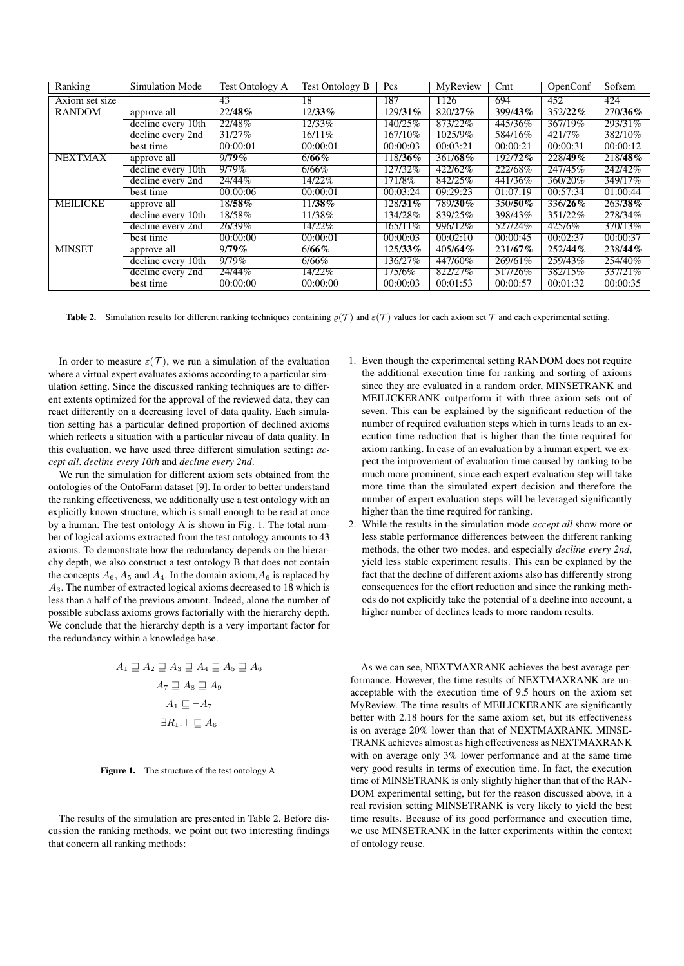| Ranking         | Simulation Mode    | <b>Test Ontology A</b> | <b>Test Ontology B</b> | Pcs        | <b>MyReview</b> | Cmt               | OpenConf | Sofsem   |
|-----------------|--------------------|------------------------|------------------------|------------|-----------------|-------------------|----------|----------|
| Axiom set size  |                    | 43                     | 18                     | 187        | 1126            | 694               | 452      | 424      |
| <b>RANDOM</b>   | approve all        | 22/48%                 | $12/33\%$              | 129/31%    | 820/27%         | $\sqrt{399/43\%}$ | 352/22%  | 270/36%  |
|                 | decline every 10th | 22/48%                 | 12/33%                 | 140/25%    | 873/22%         | 445/36%           | 367/19%  | 293/31%  |
|                 | decline every 2nd  | 31/27%                 | $16/11\%$              | 167/10%    | 1025/9%         | 584/16%           | 421/7%   | 382/10%  |
|                 | best time          | 00:00:01               | 00:00:01               | 00:00:03   | 00:03:21        | 00:00:21          | 00:00:31 | 00:00:12 |
| <b>NEXTMAX</b>  | approve all        | 9/79%                  | 6/66%                  | 118/36%    | 361/68%         | 192/72%           | 228/49%  | 218/48%  |
|                 | decline every 10th | 9/79%                  | 6/66%                  | 127/32%    | 422/62%         | 222/68%           | 247/45%  | 242/42%  |
|                 | decline every 2nd  | 24/44%                 | 14/22%                 | 171/8\%    | 842/25%         | 441/36%           | 360/20%  | 349/17%  |
|                 | best time          | 00:00:06               | 00:00:01               | 00:03:24   | 09:29:23        | 01:07:19          | 00:57:34 | 01:00:44 |
| <b>MEILICKE</b> | approve all        | 18/58%                 | $11/38\%$              | 128/31%    | 789/30%         | 350/50%           | 336/26%  | 263/38%  |
|                 | decline every 10th | 18/58%                 | 11/38\%                | 134/28%    | 839/25%         | 398/43%           | 351/22%  | 278/34%  |
|                 | decline every 2nd  | 26/39%                 | 14/22%                 | $165/11\%$ | 996/12%         | 527/24%           | 425/6%   | 370/13%  |
|                 | best time          | 00:00:00               | 00:00:01               | 00:00:03   | 00:02:10        | 00:00:45          | 00:02:37 | 00:00:37 |
| <b>MINSET</b>   | approve all        | 9/79%                  | 6/66%                  | $125/33\%$ | 405/64%         | $231/67\%$        | 252/44%  | 238/44%  |
|                 | decline every 10th | $9/79\%$               | 6/66%                  | 136/27%    | 447/60%         | 269/61%           | 259/43%  | 254/40%  |
|                 | decline every 2nd  | 24/44%                 | 14/22%                 | 175/6%     | 822/27%         | 517/26%           | 382/15%  | 337/21\% |
|                 | best time          | 00:00:00               | 00:00:00               | 00:00:03   | 00:01:53        | 00:00:57          | 00:01:32 | 00:00:35 |

**Table 2.** Simulation results for different ranking techniques containing  $\varrho(\mathcal{T})$  and  $\varepsilon(\mathcal{T})$  values for each axiom set  $\mathcal{T}$  and each experimental setting.

In order to measure  $\varepsilon(T)$ , we run a simulation of the evaluation where a virtual expert evaluates axioms according to a particular simulation setting. Since the discussed ranking techniques are to different extents optimized for the approval of the reviewed data, they can react differently on a decreasing level of data quality. Each simulation setting has a particular defined proportion of declined axioms which reflects a situation with a particular niveau of data quality. In this evaluation, we have used three different simulation setting: *accept all*, *decline every 10th* and *decline every 2nd*.

We run the simulation for different axiom sets obtained from the ontologies of the OntoFarm dataset [9]. In order to better understand the ranking effectiveness, we additionally use a test ontology with an explicitly known structure, which is small enough to be read at once by a human. The test ontology A is shown in Fig. 1. The total number of logical axioms extracted from the test ontology amounts to 43 axioms. To demonstrate how the redundancy depends on the hierarchy depth, we also construct a test ontology B that does not contain the concepts  $A_6$ ,  $A_5$  and  $A_4$ . In the domain axiom,  $A_6$  is replaced by A3. The number of extracted logical axioms decreased to 18 which is less than a half of the previous amount. Indeed, alone the number of possible subclass axioms grows factorially with the hierarchy depth. We conclude that the hierarchy depth is a very important factor for the redundancy within a knowledge base.

$$
A_1 \sqsupseteq A_2 \sqsupseteq A_3 \sqsupseteq A_4 \sqsupseteq A_5 \sqsupseteq A_6
$$

$$
A_7 \sqsupseteq A_8 \sqsupseteq A_9
$$

$$
A_1 \sqsubseteq \neg A_7
$$

$$
\exists R_1. \top \sqsubseteq A_6
$$

Figure 1. The structure of the test ontology A

The results of the simulation are presented in Table 2. Before discussion the ranking methods, we point out two interesting findings that concern all ranking methods:

- 1. Even though the experimental setting RANDOM does not require the additional execution time for ranking and sorting of axioms since they are evaluated in a random order, MINSETRANK and MEILICKERANK outperform it with three axiom sets out of seven. This can be explained by the significant reduction of the number of required evaluation steps which in turns leads to an execution time reduction that is higher than the time required for axiom ranking. In case of an evaluation by a human expert, we expect the improvement of evaluation time caused by ranking to be much more prominent, since each expert evaluation step will take more time than the simulated expert decision and therefore the number of expert evaluation steps will be leveraged significantly higher than the time required for ranking.
- 2. While the results in the simulation mode *accept all* show more or less stable performance differences between the different ranking methods, the other two modes, and especially *decline every 2nd*, yield less stable experiment results. This can be explaned by the fact that the decline of different axioms also has differently strong consequences for the effort reduction and since the ranking methods do not explicitly take the potential of a decline into account, a higher number of declines leads to more random results.

As we can see, NEXTMAXRANK achieves the best average performance. However, the time results of NEXTMAXRANK are unacceptable with the execution time of 9.5 hours on the axiom set MyReview. The time results of MEILICKERANK are significantly better with 2.18 hours for the same axiom set, but its effectiveness is on average 20% lower than that of NEXTMAXRANK. MINSE-TRANK achieves almost as high effectiveness as NEXTMAXRANK with on average only 3% lower performance and at the same time very good results in terms of execution time. In fact, the execution time of MINSETRANK is only slightly higher than that of the RAN-DOM experimental setting, but for the reason discussed above, in a real revision setting MINSETRANK is very likely to yield the best time results. Because of its good performance and execution time, we use MINSETRANK in the latter experiments within the context of ontology reuse.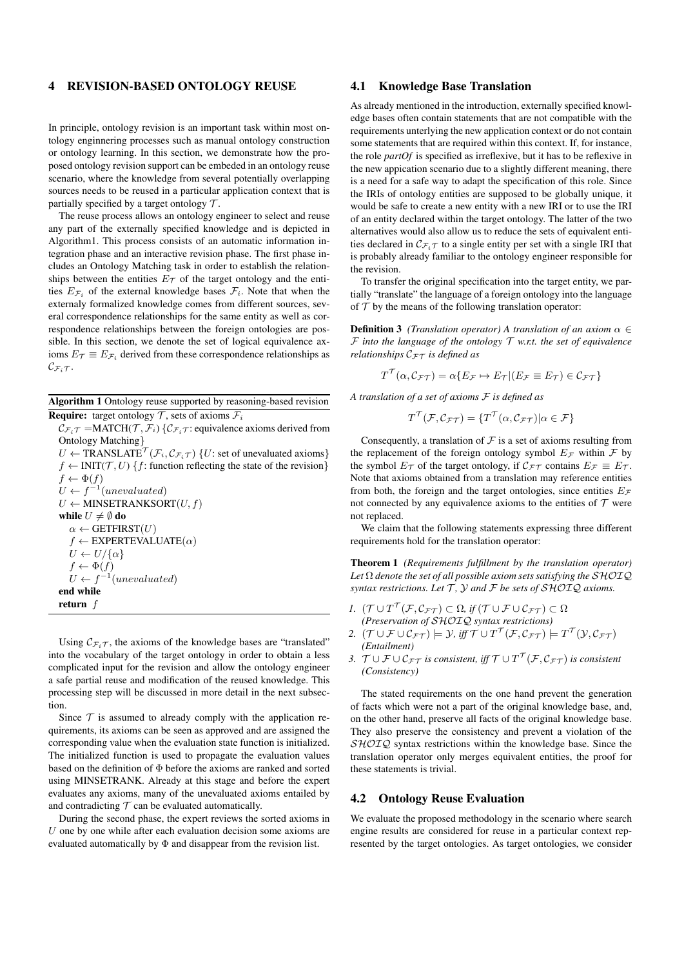# 4 REVISION-BASED ONTOLOGY REUSE

In principle, ontology revision is an important task within most ontology enginnering processes such as manual ontology construction or ontology learning. In this section, we demonstrate how the proposed ontology revision support can be embeded in an ontology reuse scenario, where the knowledge from several potentially overlapping sources needs to be reused in a particular application context that is partially specified by a target ontology  $\mathcal{T}$ .

The reuse process allows an ontology engineer to select and reuse any part of the externally specified knowledge and is depicted in Algorithm1. This process consists of an automatic information integration phase and an interactive revision phase. The first phase includes an Ontology Matching task in order to establish the relationships between the entities  $E_{\mathcal{T}}$  of the target ontology and the entities  $E_{\mathcal{F}_i}$  of the external knowledge bases  $\mathcal{F}_i$ . Note that when the externaly formalized knowledge comes from different sources, several correspondence relationships for the same entity as well as correspondence relationships between the foreign ontologies are possible. In this section, we denote the set of logical equivalence axioms  $E_{\mathcal{T}} \equiv E_{\mathcal{F}_i}$  derived from these correspondence relationships as  $\mathcal{C}_{\mathcal{F}_i\mathcal{T}}$ .

Algorithm 1 Ontology reuse supported by reasoning-based revision **Require:** target ontology  $\mathcal{T}$ , sets of axioms  $\mathcal{F}_i$ 

 $\mathcal{C}_{\mathcal{F}_i\mathcal{T}} = \text{MATCH}(\mathcal{T}, \mathcal{F}_i) \{ \mathcal{C}_{\mathcal{F}_i\mathcal{T}} : \text{equivalence axioms derived from}$ Ontology Matching}  $U \leftarrow \text{TRANSLATE}^{\mathcal{T}}(\mathcal{F}_i, \mathcal{C}_{\mathcal{F}_i \mathcal{T}})$  {*U*: set of unevaluated axioms}  $f \leftarrow \text{INIT}(\mathcal{T}, U) \{f: \text{function reflecting the state of the revision}\}$  $f \leftarrow \Phi(f)$  $U \leftarrow f^{-1}(unevaluated)$ 

 $U \leftarrow$  MINSETRANKSORT $(U, f)$ while  $U \neq \emptyset$  do  $\alpha \leftarrow$  GETFIRST $(U)$  $f \leftarrow$  EXPERTEVALUATE( $\alpha$ )  $U \leftarrow U/\{\alpha\}$  $f \leftarrow \Phi(f)$  $U \leftarrow f^{-1}(unevaluated)$ end while return f

Using  $\mathcal{C}_{\mathcal{F}_{i},\mathcal{T}}$ , the axioms of the knowledge bases are "translated" into the vocabulary of the target ontology in order to obtain a less complicated input for the revision and allow the ontology engineer a safe partial reuse and modification of the reused knowledge. This processing step will be discussed in more detail in the next subsection.

Since  $\mathcal T$  is assumed to already comply with the application requirements, its axioms can be seen as approved and are assigned the corresponding value when the evaluation state function is initialized. The initialized function is used to propagate the evaluation values based on the definition of Φ before the axioms are ranked and sorted using MINSETRANK. Already at this stage and before the expert evaluates any axioms, many of the unevaluated axioms entailed by and contradicting  $T$  can be evaluated automatically.

During the second phase, the expert reviews the sorted axioms in  $U$  one by one while after each evaluation decision some axioms are evaluated automatically by  $\Phi$  and disappear from the revision list.

## 4.1 Knowledge Base Translation

As already mentioned in the introduction, externally specified knowledge bases often contain statements that are not compatible with the requirements unterlying the new application context or do not contain some statements that are required within this context. If, for instance, the role *partOf* is specified as irreflexive, but it has to be reflexive in the new appication scenario due to a slightly different meaning, there is a need for a safe way to adapt the specification of this role. Since the IRIs of ontology entities are supposed to be globally unique, it would be safe to create a new entity with a new IRI or to use the IRI of an entity declared within the target ontology. The latter of the two alternatives would also allow us to reduce the sets of equivalent entities declared in  $\mathcal{C}_{\mathcal{F}_i\mathcal{T}}$  to a single entity per set with a single IRI that is probably already familiar to the ontology engineer responsible for the revision.

To transfer the original specification into the target entity, we partially "translate" the language of a foreign ontology into the language of  $T$  by the means of the following translation operator:

**Definition 3** *(Translation operator)* A *translation of an axiom*  $\alpha \in$  $F$  *into the language of the ontology*  $T$  *w.r.t. the set of equivalence relationships*  $C_F\tau$  *is defined as* 

$$
T^{\mathcal{T}}(\alpha, \mathcal{C}_{\mathcal{FT}}) = \alpha \{ E_{\mathcal{F}} \mapsto E_{\mathcal{T}} | (E_{\mathcal{F}} \equiv E_{\mathcal{T}}) \in \mathcal{C}_{\mathcal{FT}} \}
$$

*A translation of a set of axioms* F *is defined as*

$$
T^{\mathcal{T}}(\mathcal{F}, \mathcal{C}_{\mathcal{F}\mathcal{T}}) = \{T^{\mathcal{T}}(\alpha, \mathcal{C}_{\mathcal{F}\mathcal{T}})| \alpha \in \mathcal{F}\}
$$

Consequently, a translation of  $F$  is a set of axioms resulting from the replacement of the foreign ontology symbol  $E_{\mathcal{F}}$  within  $\mathcal F$  by the symbol  $E_{\mathcal{T}}$  of the target ontology, if  $C_{\mathcal{FT}}$  contains  $E_{\mathcal{F}} \equiv E_{\mathcal{T}}$ . Note that axioms obtained from a translation may reference entities from both, the foreign and the target ontologies, since entities  $E_{\mathcal{F}}$ not connected by any equivalence axioms to the entities of  $T$  were not replaced.

We claim that the following statements expressing three different requirements hold for the translation operator:

Theorem 1 *(Requirements fulfillment by the translation operator)* Let  $\Omega$  *denote the set of all possible axiom sets satisfying the*  $\mathcal{SHOIQ}$ *syntax restrictions. Let*  $\mathcal{T}$ *,*  $\mathcal{Y}$  *and*  $\mathcal{F}$  *be sets of*  $\mathcal{SHOLQ}$  *axioms.* 

- *1.*  $(\mathcal{T} \cup T^{\mathcal{T}}(\mathcal{F}, \mathcal{C}_{\mathcal{F}\mathcal{T}}) \subset \Omega$ , if  $(\mathcal{T} \cup \mathcal{F} \cup \mathcal{C}_{\mathcal{F}\mathcal{T}}) \subset \Omega$ *(Preservation of* SHOIQ *syntax restrictions)*
- 2.  $(T \cup \mathcal{F} \cup \mathcal{C}_{\mathcal{FT}}) \models \mathcal{Y}$ , iff  $\mathcal{T} \cup T^{\mathcal{T}}(\mathcal{F}, \mathcal{C}_{\mathcal{FT}}) \models T^{\mathcal{T}}(\mathcal{Y}, \mathcal{C}_{\mathcal{FT}})$ *(Entailment)*
- 3.  $\mathcal{T} \cup \mathcal{F} \cup \mathcal{C}_{\mathcal{FT}}$  *is consistent, iff*  $\mathcal{T} \cup T^{\mathcal{T}}(\mathcal{F},\mathcal{C}_{\mathcal{FT}})$  *is consistent (Consistency)*

The stated requirements on the one hand prevent the generation of facts which were not a part of the original knowledge base, and, on the other hand, preserve all facts of the original knowledge base. They also preserve the consistency and prevent a violation of the  $SHOIQ$  syntax restrictions within the knowledge base. Since the translation operator only merges equivalent entities, the proof for these statements is trivial.

# 4.2 Ontology Reuse Evaluation

We evaluate the proposed methodology in the scenario where search engine results are considered for reuse in a particular context represented by the target ontologies. As target ontologies, we consider